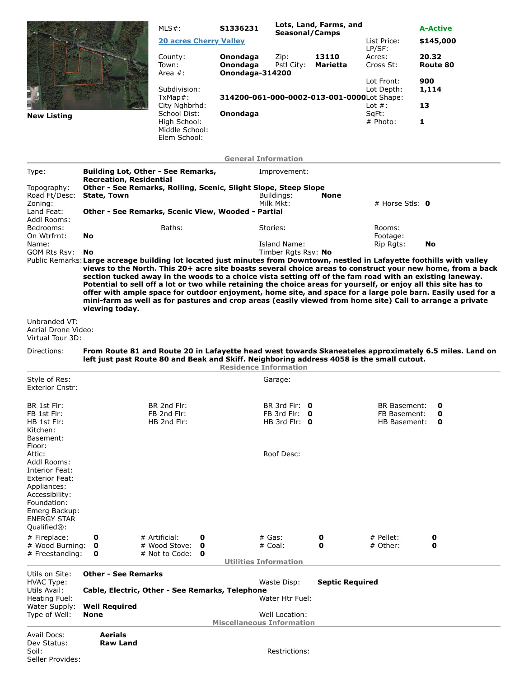|                                                                                                                                                                                     |                                                                                          | $MLS#$ :                                                                                                                                                                                                                                                                                                                                                                                                                                                | S1336231                                |                                     | Lots, Land, Farms, and                     |                               | <b>A-Active</b>                                                                                            |  |  |  |
|-------------------------------------------------------------------------------------------------------------------------------------------------------------------------------------|------------------------------------------------------------------------------------------|---------------------------------------------------------------------------------------------------------------------------------------------------------------------------------------------------------------------------------------------------------------------------------------------------------------------------------------------------------------------------------------------------------------------------------------------------------|-----------------------------------------|-------------------------------------|--------------------------------------------|-------------------------------|------------------------------------------------------------------------------------------------------------|--|--|--|
|                                                                                                                                                                                     |                                                                                          | <b>20 acres Cherry Valley</b>                                                                                                                                                                                                                                                                                                                                                                                                                           |                                         | <b>Seasonal/Camps</b>               |                                            | List Price:                   | \$145,000                                                                                                  |  |  |  |
|                                                                                                                                                                                     |                                                                                          | County:<br>Town:<br>Area $#$ :                                                                                                                                                                                                                                                                                                                                                                                                                          | Onondaga<br>Onondaga<br>Onondaga-314200 | Zip:<br>Pstl City:                  | 13110<br><b>Marietta</b>                   | LP/SF:<br>Acres:<br>Cross St: | 20.32<br>Route 80                                                                                          |  |  |  |
|                                                                                                                                                                                     |                                                                                          | Subdivision:<br>TxMap#:                                                                                                                                                                                                                                                                                                                                                                                                                                 |                                         |                                     | 314200-061-000-0002-013-001-0000Lot Shape: | Lot Front:<br>Lot Depth:      | 900<br>1,114                                                                                               |  |  |  |
|                                                                                                                                                                                     |                                                                                          | City Nghbrhd:                                                                                                                                                                                                                                                                                                                                                                                                                                           |                                         |                                     |                                            | Lot $#$ :                     | 13                                                                                                         |  |  |  |
| <b>New Listing</b>                                                                                                                                                                  |                                                                                          | School Dist:<br>High School:<br>Middle School:<br>Elem School:                                                                                                                                                                                                                                                                                                                                                                                          | Onondaga                                |                                     |                                            | SqFt:<br># Photo:             | 1                                                                                                          |  |  |  |
|                                                                                                                                                                                     |                                                                                          |                                                                                                                                                                                                                                                                                                                                                                                                                                                         | <b>General Information</b>              |                                     |                                            |                               |                                                                                                            |  |  |  |
| Type:                                                                                                                                                                               |                                                                                          | Building Lot, Other - See Remarks,                                                                                                                                                                                                                                                                                                                                                                                                                      |                                         | Improvement:                        |                                            |                               |                                                                                                            |  |  |  |
| Topography:<br>Road Ft/Desc:                                                                                                                                                        | <b>Recreation, Residential</b><br>State, Town                                            | Other - See Remarks, Rolling, Scenic, Slight Slope, Steep Slope                                                                                                                                                                                                                                                                                                                                                                                         |                                         | Buildings:                          | <b>None</b>                                |                               |                                                                                                            |  |  |  |
| Zoning:                                                                                                                                                                             |                                                                                          |                                                                                                                                                                                                                                                                                                                                                                                                                                                         |                                         | Milk Mkt:                           |                                            | # Horse Stls: $\mathbf 0$     |                                                                                                            |  |  |  |
| Land Feat:<br>Addl Rooms:                                                                                                                                                           |                                                                                          | Other - See Remarks, Scenic View, Wooded - Partial                                                                                                                                                                                                                                                                                                                                                                                                      |                                         |                                     |                                            |                               |                                                                                                            |  |  |  |
| Bedrooms:<br>On Wtrfrnt:                                                                                                                                                            | <b>No</b>                                                                                | Baths:                                                                                                                                                                                                                                                                                                                                                                                                                                                  |                                         | Stories:                            |                                            | Rooms:<br>Footage:            |                                                                                                            |  |  |  |
| Name:<br><b>GOM Rts Rsv:</b>                                                                                                                                                        | No                                                                                       |                                                                                                                                                                                                                                                                                                                                                                                                                                                         |                                         | Island Name:<br>Timber Rgts Rsv: No |                                            | Rip Rgts:                     | No                                                                                                         |  |  |  |
|                                                                                                                                                                                     |                                                                                          | Public Remarks: Large acreage building lot located just minutes from Downtown, nestled in Lafayette foothills with valley                                                                                                                                                                                                                                                                                                                               |                                         |                                     |                                            |                               | views to the North. This 20+ acre site boasts several choice areas to construct your new home, from a back |  |  |  |
|                                                                                                                                                                                     | viewing today.                                                                           | section tucked away in the woods to a choice vista setting off of the fam road with an existing laneway.<br>Potential to sell off a lot or two while retaining the choice areas for yourself, or enjoy all this site has to<br>offer with ample space for outdoor enjoyment, home site, and space for a large pole barn. Easily used for a<br>mini-farm as well as for pastures and crop areas (easily viewed from home site) Call to arrange a private |                                         |                                     |                                            |                               |                                                                                                            |  |  |  |
| Unbranded VT:<br>Aerial Drone Video:<br>Virtual Tour 3D:                                                                                                                            |                                                                                          |                                                                                                                                                                                                                                                                                                                                                                                                                                                         |                                         |                                     |                                            |                               |                                                                                                            |  |  |  |
| Directions:                                                                                                                                                                         |                                                                                          | left just past Route 80 and Beak and Skiff. Neighboring address 4058 is the small cutout.                                                                                                                                                                                                                                                                                                                                                               | <b>Residence Information</b>            |                                     |                                            |                               | From Route 81 and Route 20 in Lafayette head west towards Skaneateles approximately 6.5 miles. Land on     |  |  |  |
| Style of Res:<br><b>Exterior Cnstr:</b>                                                                                                                                             |                                                                                          |                                                                                                                                                                                                                                                                                                                                                                                                                                                         |                                         | Garage:                             |                                            |                               |                                                                                                            |  |  |  |
| BR 1st Flr:                                                                                                                                                                         |                                                                                          | BR 2nd Flr:                                                                                                                                                                                                                                                                                                                                                                                                                                             |                                         | BR 3rd Flr: 0                       |                                            | <b>BR Basement:</b>           | 0                                                                                                          |  |  |  |
| FB 1st Flr:<br>HB 1st Flr:<br>Kitchen:<br>Basement:                                                                                                                                 |                                                                                          | FB 2nd Flr:<br>HB 2nd Flr:                                                                                                                                                                                                                                                                                                                                                                                                                              |                                         | FB 3rd Flr: $0$<br>HB 3rd Flr: $0$  |                                            | FB Basement:<br>HB Basement:  | 0<br>0                                                                                                     |  |  |  |
| Floor:                                                                                                                                                                              |                                                                                          |                                                                                                                                                                                                                                                                                                                                                                                                                                                         |                                         |                                     |                                            |                               |                                                                                                            |  |  |  |
| Attic:<br>Addl Rooms:<br>Interior Feat:<br><b>Exterior Feat:</b><br>Appliances:<br>Accessibility:<br>Foundation:<br>Emerg Backup:<br><b>ENERGY STAR</b><br>Qualified <sup>®</sup> : |                                                                                          |                                                                                                                                                                                                                                                                                                                                                                                                                                                         |                                         | Roof Desc:                          |                                            |                               |                                                                                                            |  |  |  |
| # Fireplace:<br># Wood Burning:                                                                                                                                                     | 0<br>$\mathbf o$                                                                         | # Artificial:<br>0<br># Wood Stove:<br>0                                                                                                                                                                                                                                                                                                                                                                                                                |                                         | # Gas:<br># Coal:                   | 0<br>0                                     | # Pellet:<br># Other:         | 0<br>0                                                                                                     |  |  |  |
| # Freestanding:                                                                                                                                                                     | 0                                                                                        | # Not to Code:<br>O                                                                                                                                                                                                                                                                                                                                                                                                                                     |                                         |                                     |                                            |                               |                                                                                                            |  |  |  |
| Utils on Site:                                                                                                                                                                      | <b>Other - See Remarks</b>                                                               |                                                                                                                                                                                                                                                                                                                                                                                                                                                         | <b>Utilities Information</b>            |                                     |                                            |                               |                                                                                                            |  |  |  |
| <b>HVAC Type:</b><br>Utils Avail:                                                                                                                                                   | <b>Septic Required</b><br>Waste Disp:<br>Cable, Electric, Other - See Remarks, Telephone |                                                                                                                                                                                                                                                                                                                                                                                                                                                         |                                         |                                     |                                            |                               |                                                                                                            |  |  |  |
| Heating Fuel:                                                                                                                                                                       |                                                                                          |                                                                                                                                                                                                                                                                                                                                                                                                                                                         |                                         | Water Htr Fuel:                     |                                            |                               |                                                                                                            |  |  |  |
| Water Supply:<br>Type of Well:                                                                                                                                                      | <b>Well Required</b><br>None                                                             |                                                                                                                                                                                                                                                                                                                                                                                                                                                         |                                         | Well Location:                      |                                            |                               |                                                                                                            |  |  |  |
|                                                                                                                                                                                     |                                                                                          |                                                                                                                                                                                                                                                                                                                                                                                                                                                         | <b>Miscellaneous Information</b>        |                                     |                                            |                               |                                                                                                            |  |  |  |
| Avail Docs:<br>Dev Status:<br>Soil:<br>Seller Provides:                                                                                                                             | Aerials<br><b>Raw Land</b>                                                               |                                                                                                                                                                                                                                                                                                                                                                                                                                                         |                                         | Restrictions:                       |                                            |                               |                                                                                                            |  |  |  |